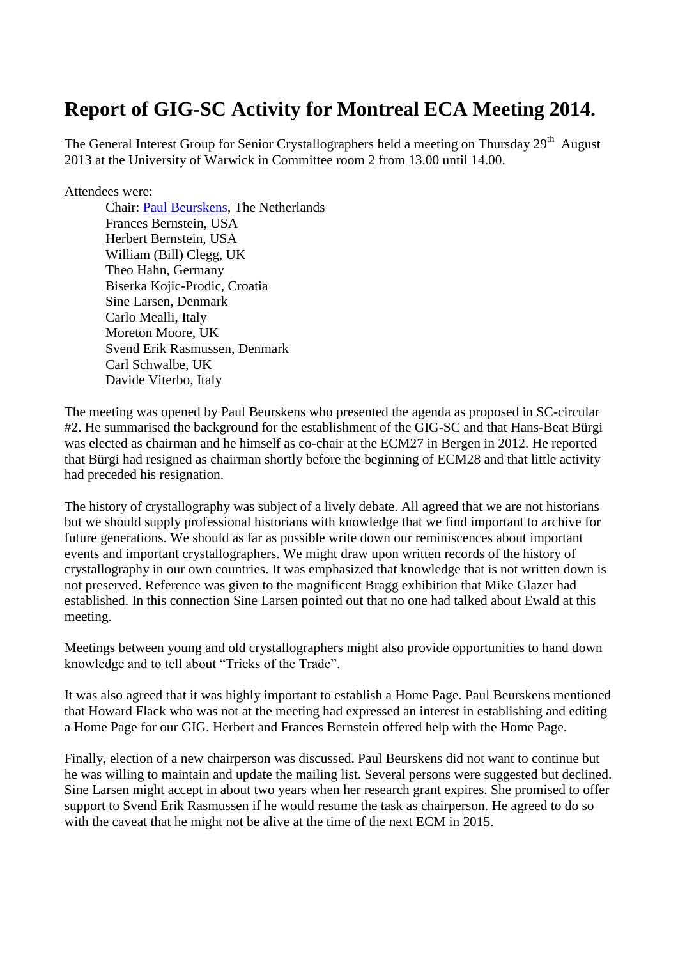## **Report of GIG-SC Activity for Montreal ECA Meeting 2014.**

The General Interest Group for Senior Crystallographers held a meeting on Thursday 29<sup>th</sup> August 2013 at the University of Warwick in Committee room 2 from 13.00 until 14.00.

Attendees were:

Chair: [Paul Beurskens,](http://scripts.iucr.org/cgi-bin/iucrid_details?id=4788) The Netherlands Frances Bernstein, USA Herbert Bernstein, USA William (Bill) Clegg, UK Theo Hahn, Germany Biserka Kojic-Prodic, Croatia Sine Larsen, Denmark Carlo Mealli, Italy Moreton Moore, UK Svend Erik Rasmussen, Denmark Carl Schwalbe, UK Davide Viterbo, Italy

The meeting was opened by Paul Beurskens who presented the agenda as proposed in SC-circular #2. He summarised the background for the establishment of the GIG-SC and that Hans-Beat Bürgi was elected as chairman and he himself as co-chair at the ECM27 in Bergen in 2012. He reported that Bürgi had resigned as chairman shortly before the beginning of ECM28 and that little activity had preceded his resignation.

The history of crystallography was subject of a lively debate. All agreed that we are not historians but we should supply professional historians with knowledge that we find important to archive for future generations. We should as far as possible write down our reminiscences about important events and important crystallographers. We might draw upon written records of the history of crystallography in our own countries. It was emphasized that knowledge that is not written down is not preserved. Reference was given to the magnificent Bragg exhibition that Mike Glazer had established. In this connection Sine Larsen pointed out that no one had talked about Ewald at this meeting.

Meetings between young and old crystallographers might also provide opportunities to hand down knowledge and to tell about "Tricks of the Trade".

It was also agreed that it was highly important to establish a Home Page. Paul Beurskens mentioned that Howard Flack who was not at the meeting had expressed an interest in establishing and editing a Home Page for our GIG. Herbert and Frances Bernstein offered help with the Home Page.

Finally, election of a new chairperson was discussed. Paul Beurskens did not want to continue but he was willing to maintain and update the mailing list. Several persons were suggested but declined. Sine Larsen might accept in about two years when her research grant expires. She promised to offer support to Svend Erik Rasmussen if he would resume the task as chairperson. He agreed to do so with the caveat that he might not be alive at the time of the next ECM in 2015.